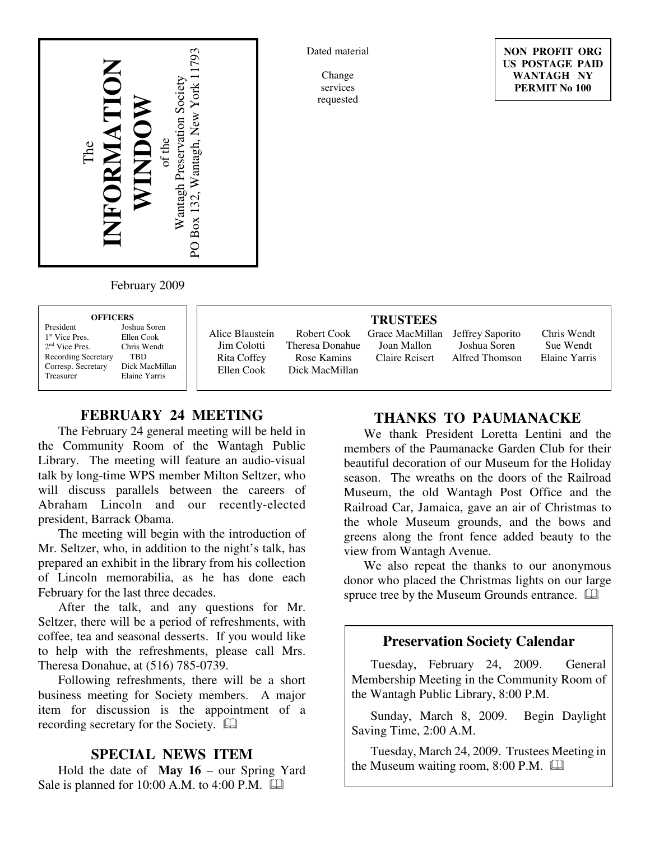

Dated material

Change services requested

**NON PROFIT ORG US POSTAGE PAID WANTAGH NY PERMIT No 100**

February 2009

| <b>OFFICERS</b> |  |
|-----------------|--|
|                 |  |

| President                  |
|----------------------------|
| 1 <sup>st</sup> Vice Pres. |
| 2 <sup>nd</sup> Vice Pres. |
| Recording Secretar         |
| Corresp. Secretary         |
| Treasurer                  |

Joshua Soren Ellen Cook Chris Wendt ry TBD Dick MacMillan Elaine Yarris

Alice Blaustein Jim Colotti Rita Coffey Ellen Cook

Robert Cook Theresa Donahue Rose Kamins Dick MacMillan

**TRUSTEES** Grace MacMillan

Joan Mallon Claire Reisert

Jeffrey Saporito Joshua Soren Alfred Thomson

Chris Wendt Sue Wendt Elaine Yarris

# **FEBRUARY 24 MEETING**

The February 24 general meeting will be held in the Community Room of the Wantagh Public Library. The meeting will feature an audio-visual talk by long-time WPS member Milton Seltzer, who will discuss parallels between the careers of Abraham Lincoln and our recently-elected president, Barrack Obama.

The meeting will begin with the introduction of Mr. Seltzer, who, in addition to the night's talk, has prepared an exhibit in the library from his collection of Lincoln memorabilia, as he has done each February for the last three decades.

After the talk, and any questions for Mr. Seltzer, there will be a period of refreshments, with coffee, tea and seasonal desserts. If you would like to help with the refreshments, please call Mrs. Theresa Donahue, at (516) 785-0739.

Following refreshments, there will be a short business meeting for Society members. A major item for discussion is the appointment of a recording secretary for the Society.

### **SPECIAL NEWS ITEM**

Hold the date of **May 16** – our Spring Yard Sale is planned for 10:00 A.M. to 4:00 P.M.  $\Box$ 

## **THANKS TO PAUMANACKE**

We thank President Loretta Lentini and the members of the Paumanacke Garden Club for their beautiful decoration of our Museum for the Holiday season. The wreaths on the doors of the Railroad Museum, the old Wantagh Post Office and the Railroad Car, Jamaica, gave an air of Christmas to the whole Museum grounds, and the bows and greens along the front fence added beauty to the view from Wantagh Avenue.

We also repeat the thanks to our anonymous donor who placed the Christmas lights on our large spruce tree by the Museum Grounds entrance.  $\Box$ 

## **Preservation Society Calendar**

Tuesday, February 24, 2009. General Membership Meeting in the Community Room of the Wantagh Public Library, 8:00 P.M.

Sunday, March 8, 2009. Begin Daylight Saving Time, 2:00 A.M.

Tuesday, March 24, 2009. Trustees Meeting in the Museum waiting room, 8:00 P.M.